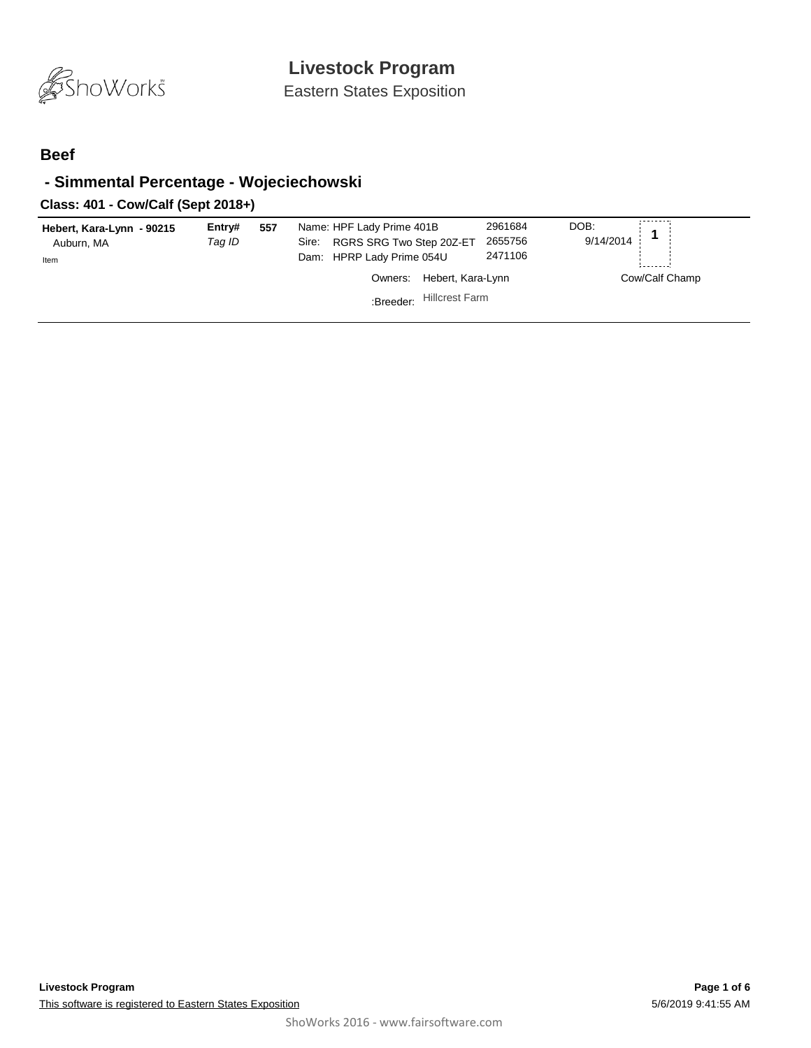

Eastern States Exposition

#### **Beef**

## **- Simmental Percentage - Wojeciechowski**

## **Class: 401 - Cow/Calf (Sept 2018+)**

| Hebert, Kara-Lynn - 90215<br>Auburn, MA<br>Item | Entry#<br>Taq ID | 557 | Name: HPF Lady Prime 401B<br>RGRS SRG Two Step 20Z-ET<br>Sire:<br>Dam: HPRP Lady Prime 054U | 2961684<br>2655756<br>2471106 | DOB:<br>9/14/2014 |
|-------------------------------------------------|------------------|-----|---------------------------------------------------------------------------------------------|-------------------------------|-------------------|
|                                                 |                  |     | Hebert, Kara-Lynn<br>Owners:                                                                |                               | Cow/Calf Champ    |
|                                                 |                  |     | <b>Hillcrest Farm</b><br>:Breeder:                                                          |                               |                   |
|                                                 |                  |     |                                                                                             |                               |                   |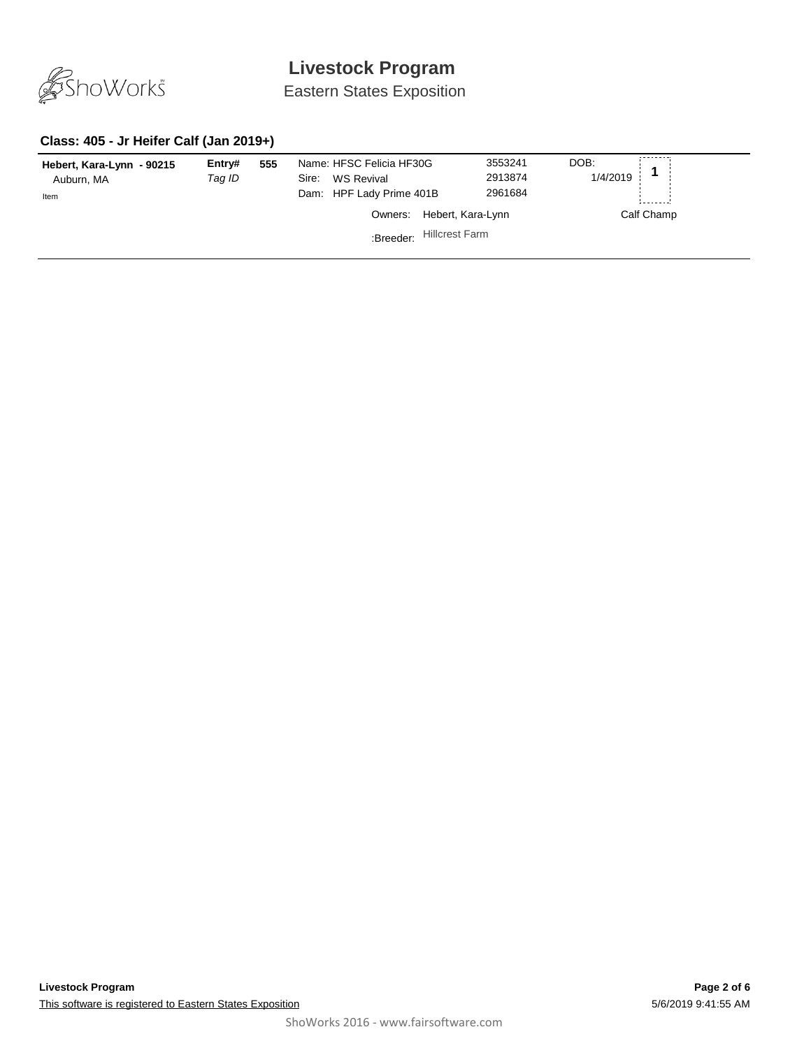

Eastern States Exposition

## **Class: 405 - Jr Heifer Calf (Jan 2019+)**

| Hebert, Kara-Lynn - 90215<br>Auburn, MA<br>Item | Entry#<br>Taq ID | 555 | Name: HFSC Felicia HF30G<br>WS Revival<br>Sire:<br>Dam: HPF Lady Prime 401B | 3553241<br>2913874<br>2961684 | DOB:<br>1/4/2019 |
|-------------------------------------------------|------------------|-----|-----------------------------------------------------------------------------|-------------------------------|------------------|
|                                                 |                  |     | Owners:                                                                     | Hebert, Kara-Lynn             | Calf Champ       |
|                                                 |                  |     | :Breeder:                                                                   | <b>Hillcrest Farm</b>         |                  |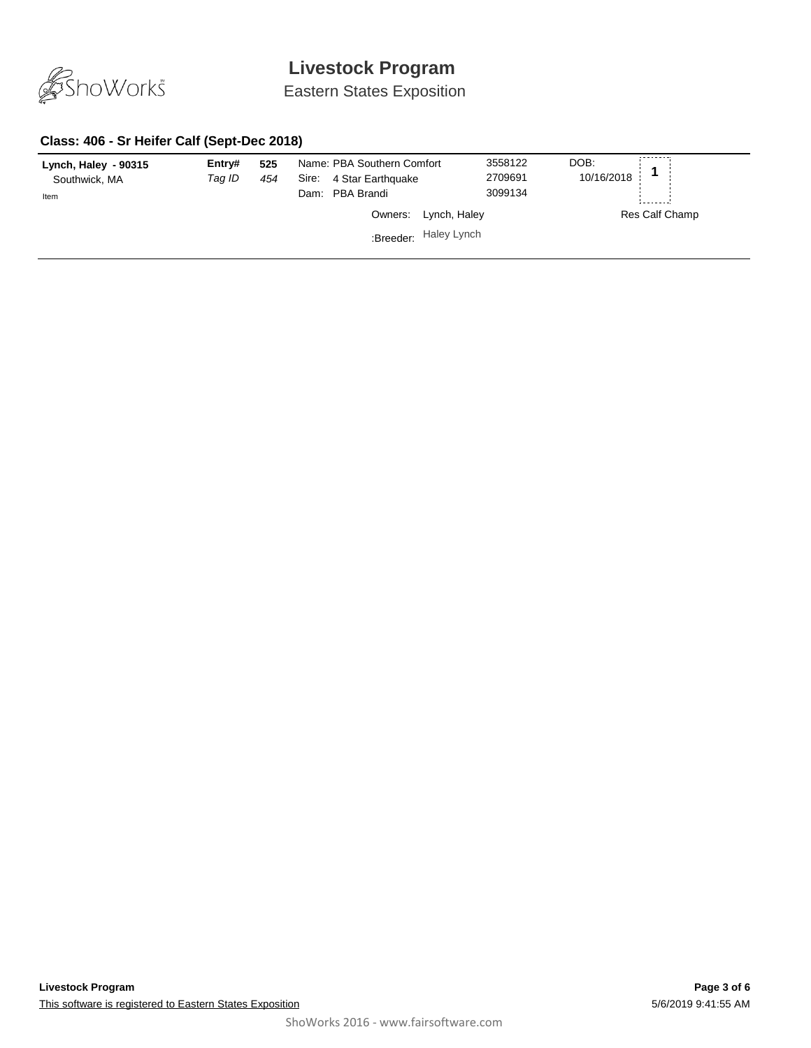

Eastern States Exposition

## **Class: 406 - Sr Heifer Calf (Sept-Dec 2018)**

| Lynch, Haley - 90315<br>Southwick, MA<br>Item | Entry#<br>Taq ID | 525<br>454 | Name: PBA Southern Comfort<br>4 Star Earthquake<br>Sire:<br>Dam: PBA Brandi |                       | 3558122<br>2709691<br>3099134 | DOB:<br>10/16/2018 |
|-----------------------------------------------|------------------|------------|-----------------------------------------------------------------------------|-----------------------|-------------------------------|--------------------|
|                                               |                  |            |                                                                             | Owners: Lynch, Haley  |                               | Res Calf Champ     |
|                                               |                  |            |                                                                             | :Breeder: Haley Lynch |                               |                    |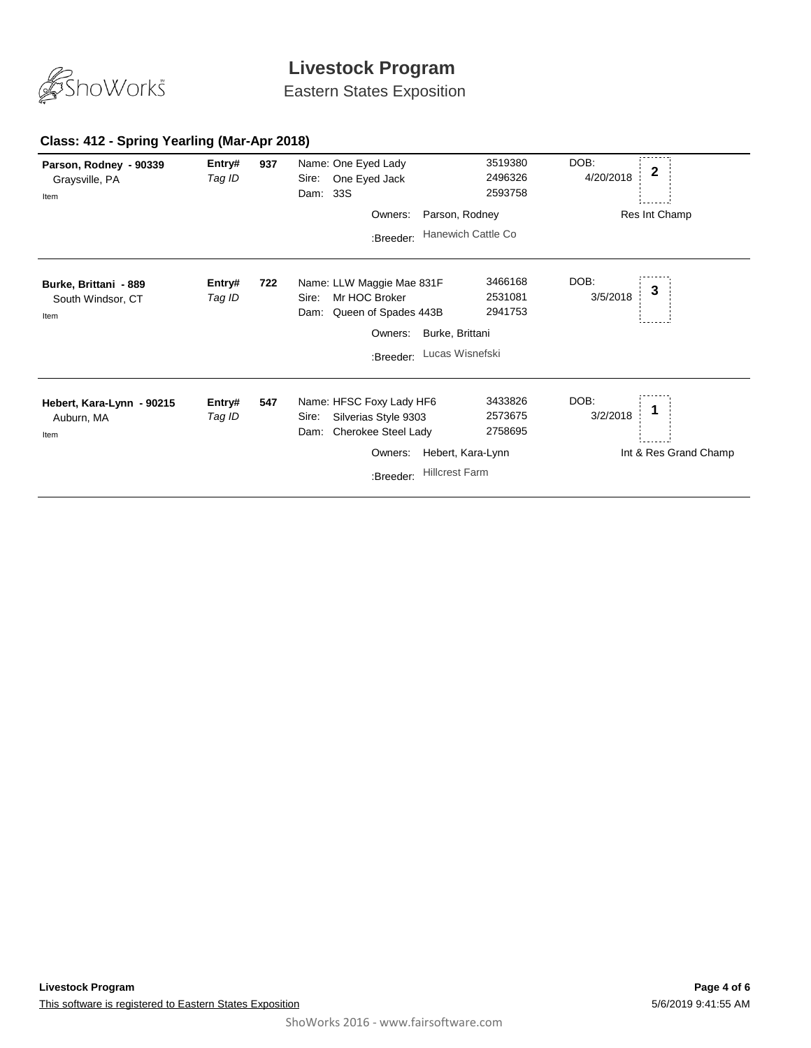

Eastern States Exposition

#### **937** *Tag ID* Entry# 937 Name: One Eyed Lady 3519380 DOB:<br>*Tag ID* Sire: One Eyed Jack 2496326 4/20/2018 **2** Sire: One Eyed Jack DOB: 4/20/2018 Dam: 33S 3519380 2496326 2593758 **Parson, Rodney - 90339** Graysville, PA Res Int Champ Item Owners: Parson, Rodney :Breeder: Hanewich Cattle Co **722** *Tag ID* Name: LLW Maggie Mae 831F **Entry# <sup>3</sup>** Sire: Mr HOC Broker DOB: 3/5/2018 Dam: Queen of Spades 443B 3466168 2531081 2941753 **Burke, Brittani - 889** South Windsor, CT Item Owners: Burke, Brittani :Breeder: Lucas Wisnefski **547** *Tag ID* Name: HFSC Foxy Lady HF6 **Entry# <sup>1</sup>** Sire: Silverias Style 9303 DOB: 3/2/2018 Dam: Cherokee Steel Lady 3433826 2573675 2758695 **Hebert, Kara-Lynn - 90215** Auburn, MA Int & Res Grand Champ Item Owners: Hebert, Kara-Lynn :Breeder: Hillcrest Farm

#### **Class: 412 - Spring Yearling (Mar-Apr 2018)**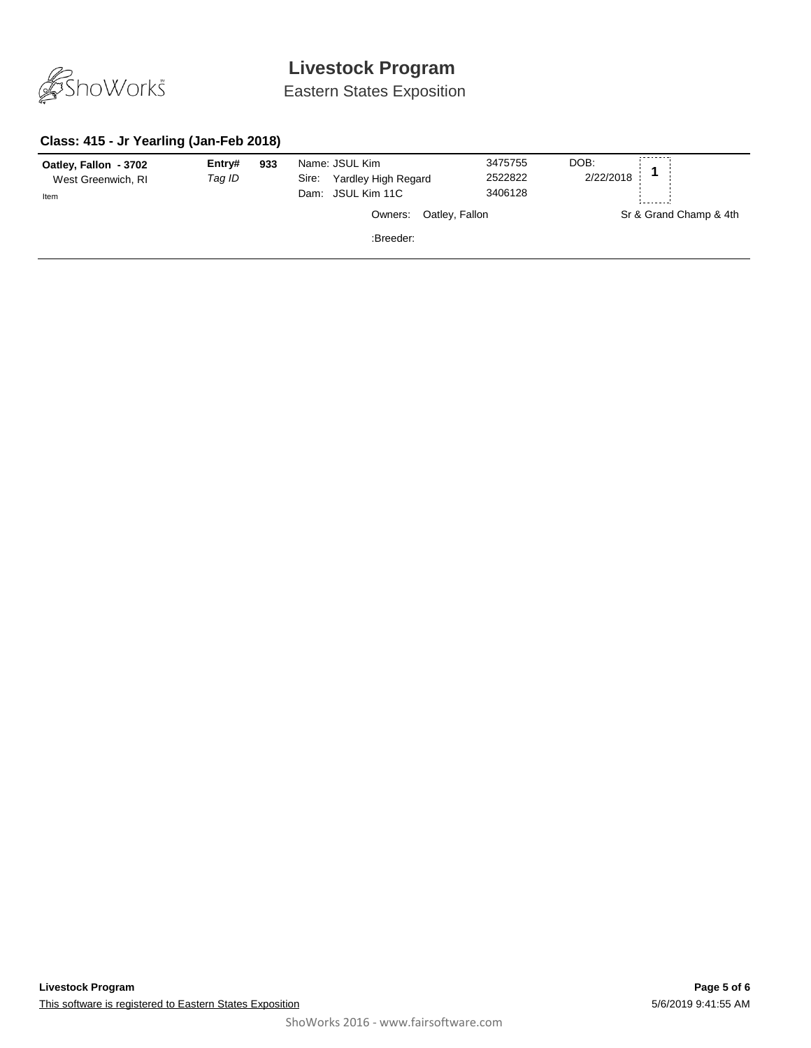

Eastern States Exposition

## **Class: 415 - Jr Yearling (Jan-Feb 2018)**

| Oatley, Fallon - 3702<br>West Greenwich, RI<br>Item | Entry#<br>Tag ID | 933 | Name: JSUL Kim<br>Yardley High Regard<br>Sire:<br>Dam: JSUL Kim 11C |                | 3475755<br>2522822<br>3406128 | DOB:<br>2/22/2018 |                        |
|-----------------------------------------------------|------------------|-----|---------------------------------------------------------------------|----------------|-------------------------------|-------------------|------------------------|
|                                                     |                  |     | Owners:                                                             | Oatley, Fallon |                               |                   | Sr & Grand Champ & 4th |
|                                                     |                  |     | :Breeder:                                                           |                |                               |                   |                        |